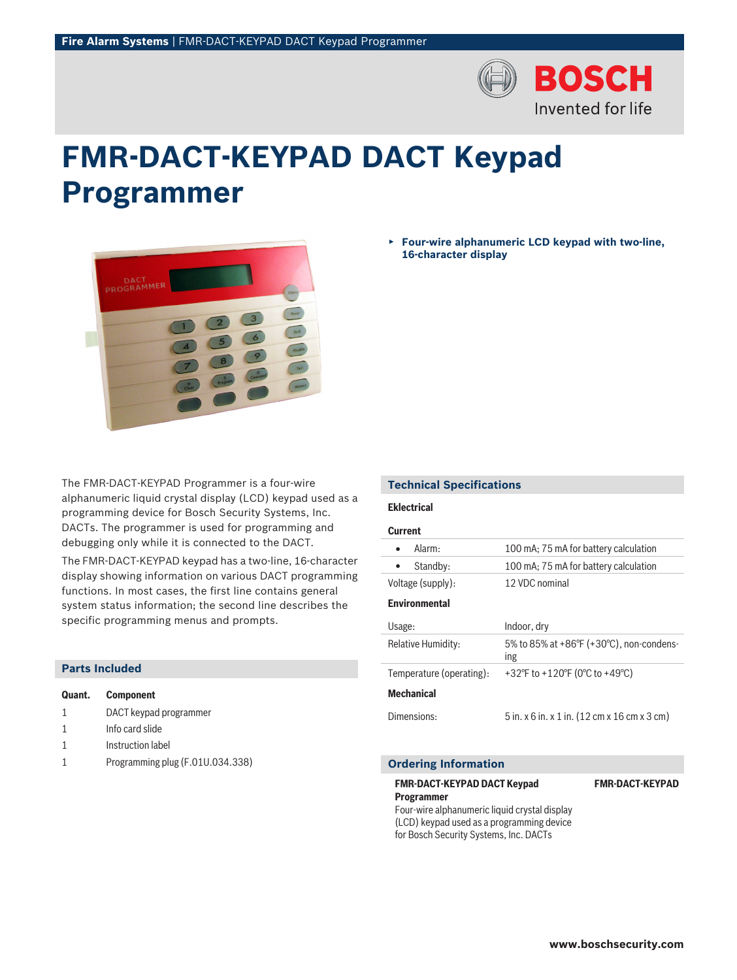

# **FMR‑DACT‑KEYPAD DACT Keypad Programmer**



The FMR-DACT-KEYPAD Programmer is a four-wire alphanumeric liquid crystal display (LCD) keypad used as a programming device for Bosch Security Systems, Inc. DACTs. The programmer is used for programming and debugging only while it is connected to the DACT.

The FMR-DACT-KEYPAD keypad has a two-line, 16-character display showing information on various DACT programming functions. In most cases, the first line contains general system status information; the second line describes the specific programming menus and prompts.

| <b>Parts Included</b> |  |  |  |  |
|-----------------------|--|--|--|--|
|-----------------------|--|--|--|--|

| Quant. | Component              |
|--------|------------------------|
| -1     | DACT keypad programmer |
|        | Info card slide        |

- 1 **Instruction label**
- 1 Programming plug (F.01U.034.338)

▶ **Four‑wire alphanumeric LCD keypad with two-line, 16‑character display**

# **Technical Specifications**

# **Eklectrical**

# **Current**

| Alarm:                   | 100 mA; 75 mA for battery calculation                               |
|--------------------------|---------------------------------------------------------------------|
| Standby:<br>$\bullet$    | 100 mA; 75 mA for battery calculation                               |
| Voltage (supply):        | 12 VDC nominal                                                      |
| <b>Environmental</b>     |                                                                     |
| Usage:                   | Indoor, dry                                                         |
| Relative Humidity:       | 5% to 85% at +86 $\degree$ F (+30 $\degree$ C), non-condens-<br>ing |
| Temperature (operating): | +32°F to +120°F (0°C to +49°C)                                      |
| <b>Mechanical</b>        |                                                                     |
| Dimensions:              | 5 in. x 6 in. x 1 in. (12 cm x 16 cm x 3 cm)                        |

### **Ordering Information**

## **FMR‑DACT‑KEYPAD DACT Keypad**

**Programmer**

Four‑wire alphanumeric liquid crystal display (LCD) keypad used as a programming device for Bosch Security Systems, Inc. DACTs

**FMR-DACT-KEYPAD**